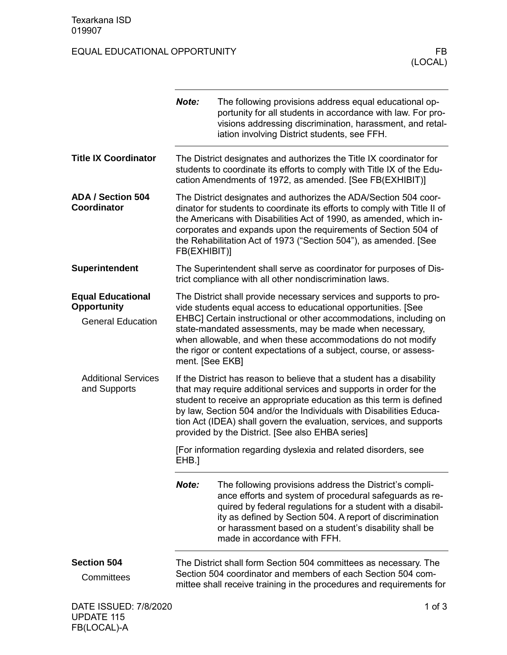FB(LOCAL)-A

## EQUAL EDUCATIONAL OPPORTUNITY FB

|                                                                            | Note:                                                                                                                                                                                                                                                                                                                                                                                                                                   | The following provisions address equal educational op-<br>portunity for all students in accordance with law. For pro-<br>visions addressing discrimination, harassment, and retal-<br>iation involving District students, see FFH.                                                                                                                                                                       |  |
|----------------------------------------------------------------------------|-----------------------------------------------------------------------------------------------------------------------------------------------------------------------------------------------------------------------------------------------------------------------------------------------------------------------------------------------------------------------------------------------------------------------------------------|----------------------------------------------------------------------------------------------------------------------------------------------------------------------------------------------------------------------------------------------------------------------------------------------------------------------------------------------------------------------------------------------------------|--|
| <b>Title IX Coordinator</b>                                                |                                                                                                                                                                                                                                                                                                                                                                                                                                         | The District designates and authorizes the Title IX coordinator for<br>students to coordinate its efforts to comply with Title IX of the Edu-<br>cation Amendments of 1972, as amended. [See FB(EXHIBIT)]                                                                                                                                                                                                |  |
| <b>ADA / Section 504</b><br>Coordinator                                    | FB(EXHIBIT)]                                                                                                                                                                                                                                                                                                                                                                                                                            | The District designates and authorizes the ADA/Section 504 coor-<br>dinator for students to coordinate its efforts to comply with Title II of<br>the Americans with Disabilities Act of 1990, as amended, which in-<br>corporates and expands upon the requirements of Section 504 of<br>the Rehabilitation Act of 1973 ("Section 504"), as amended. [See                                                |  |
| <b>Superintendent</b>                                                      |                                                                                                                                                                                                                                                                                                                                                                                                                                         | The Superintendent shall serve as coordinator for purposes of Dis-<br>trict compliance with all other nondiscrimination laws.                                                                                                                                                                                                                                                                            |  |
| <b>Equal Educational</b><br><b>Opportunity</b><br><b>General Education</b> |                                                                                                                                                                                                                                                                                                                                                                                                                                         | The District shall provide necessary services and supports to pro-<br>vide students equal access to educational opportunities. [See<br>EHBC] Certain instructional or other accommodations, including on<br>state-mandated assessments, may be made when necessary,<br>when allowable, and when these accommodations do not modify<br>the rigor or content expectations of a subject, course, or assess- |  |
| <b>Additional Services</b><br>and Supports                                 | ment. [See EKB]<br>If the District has reason to believe that a student has a disability<br>that may require additional services and supports in order for the<br>student to receive an appropriate education as this term is defined<br>by law, Section 504 and/or the Individuals with Disabilities Educa-<br>tion Act (IDEA) shall govern the evaluation, services, and supports<br>provided by the District. [See also EHBA series] |                                                                                                                                                                                                                                                                                                                                                                                                          |  |
|                                                                            | [For information regarding dyslexia and related disorders, see<br>EHB.]                                                                                                                                                                                                                                                                                                                                                                 |                                                                                                                                                                                                                                                                                                                                                                                                          |  |
|                                                                            | Note:                                                                                                                                                                                                                                                                                                                                                                                                                                   | The following provisions address the District's compli-<br>ance efforts and system of procedural safeguards as re-<br>quired by federal regulations for a student with a disabil-<br>ity as defined by Section 504. A report of discrimination<br>or harassment based on a student's disability shall be<br>made in accordance with FFH.                                                                 |  |
| <b>Section 504</b><br>Committees                                           |                                                                                                                                                                                                                                                                                                                                                                                                                                         | The District shall form Section 504 committees as necessary. The<br>Section 504 coordinator and members of each Section 504 com-<br>mittee shall receive training in the procedures and requirements for                                                                                                                                                                                                 |  |
| DATE ISSUED: 7/8/2020<br><b>UPDATE 115</b>                                 |                                                                                                                                                                                                                                                                                                                                                                                                                                         | 1 of $3$                                                                                                                                                                                                                                                                                                                                                                                                 |  |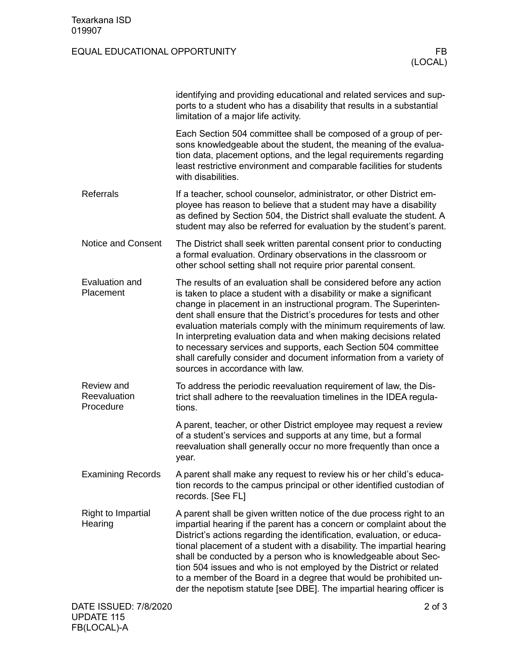## EQUAL EDUCATIONAL OPPORTUNITY FB

|                                         | identifying and providing educational and related services and sup-<br>ports to a student who has a disability that results in a substantial<br>limitation of a major life activity.                                                                                                                                                                                                                                                                                                                                                                                                                        |
|-----------------------------------------|-------------------------------------------------------------------------------------------------------------------------------------------------------------------------------------------------------------------------------------------------------------------------------------------------------------------------------------------------------------------------------------------------------------------------------------------------------------------------------------------------------------------------------------------------------------------------------------------------------------|
|                                         | Each Section 504 committee shall be composed of a group of per-<br>sons knowledgeable about the student, the meaning of the evalua-<br>tion data, placement options, and the legal requirements regarding<br>least restrictive environment and comparable facilities for students<br>with disabilities.                                                                                                                                                                                                                                                                                                     |
| <b>Referrals</b>                        | If a teacher, school counselor, administrator, or other District em-<br>ployee has reason to believe that a student may have a disability<br>as defined by Section 504, the District shall evaluate the student. A<br>student may also be referred for evaluation by the student's parent.                                                                                                                                                                                                                                                                                                                  |
| <b>Notice and Consent</b>               | The District shall seek written parental consent prior to conducting<br>a formal evaluation. Ordinary observations in the classroom or<br>other school setting shall not require prior parental consent.                                                                                                                                                                                                                                                                                                                                                                                                    |
| Evaluation and<br>Placement             | The results of an evaluation shall be considered before any action<br>is taken to place a student with a disability or make a significant<br>change in placement in an instructional program. The Superinten-<br>dent shall ensure that the District's procedures for tests and other<br>evaluation materials comply with the minimum requirements of law.<br>In interpreting evaluation data and when making decisions related<br>to necessary services and supports, each Section 504 committee<br>shall carefully consider and document information from a variety of<br>sources in accordance with law. |
| Review and<br>Reevaluation<br>Procedure | To address the periodic reevaluation requirement of law, the Dis-<br>trict shall adhere to the reevaluation timelines in the IDEA regula-<br>tions.                                                                                                                                                                                                                                                                                                                                                                                                                                                         |
|                                         | A parent, teacher, or other District employee may request a review<br>of a student's services and supports at any time, but a formal<br>reevaluation shall generally occur no more frequently than once a<br>year.                                                                                                                                                                                                                                                                                                                                                                                          |
| <b>Examining Records</b>                | A parent shall make any request to review his or her child's educa-<br>tion records to the campus principal or other identified custodian of<br>records. [See FL]                                                                                                                                                                                                                                                                                                                                                                                                                                           |
| Right to Impartial<br>Hearing           | A parent shall be given written notice of the due process right to an<br>impartial hearing if the parent has a concern or complaint about the<br>District's actions regarding the identification, evaluation, or educa-<br>tional placement of a student with a disability. The impartial hearing<br>shall be conducted by a person who is knowledgeable about Sec-<br>tion 504 issues and who is not employed by the District or related<br>to a member of the Board in a degree that would be prohibited un-<br>der the nepotism statute [see DBE]. The impartial hearing officer is                      |
| DATE ISSUED: 7/8/2020                   | $2$ of $3$                                                                                                                                                                                                                                                                                                                                                                                                                                                                                                                                                                                                  |